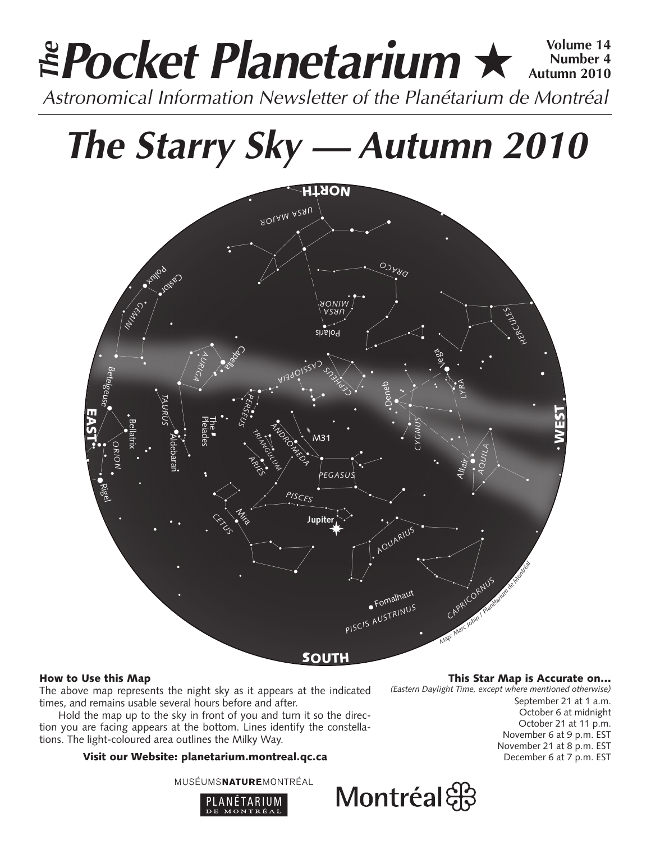# **Pocket Planetarium ★**  $\frac{Volume 14}{Number 4}$ **Number 4 Autumn 2010 EPocket Planetarium**  $\star$  Number 4<br>Astronomical Information Newsletter of the Planétarium de Montréal

# **The Starry Sky — Autumn 2010**



# How to Use this Map

The above map represents the night sky as it appears at the indicated times, and remains usable several hours before and after.

Hold the map up to the sky in front of you and turn it so the direction you are facing appears at the bottom. Lines identify the constellations. The light-coloured area outlines the Milky Way.

# Visit our Website: planetarium.montreal.qc.ca

MUSÉUMSNATUREMONTRÉAL



#### This Star Map is Accurate on…

*(Eastern Daylight Time, except where mentioned otherwise)*

September 21 at 1 a.m. October 6 at midnight October 21 at 11 p.m. November 6 at 9 p.m. EST November 21 at 8 p.m. EST December 6 at 7 p.m. EST